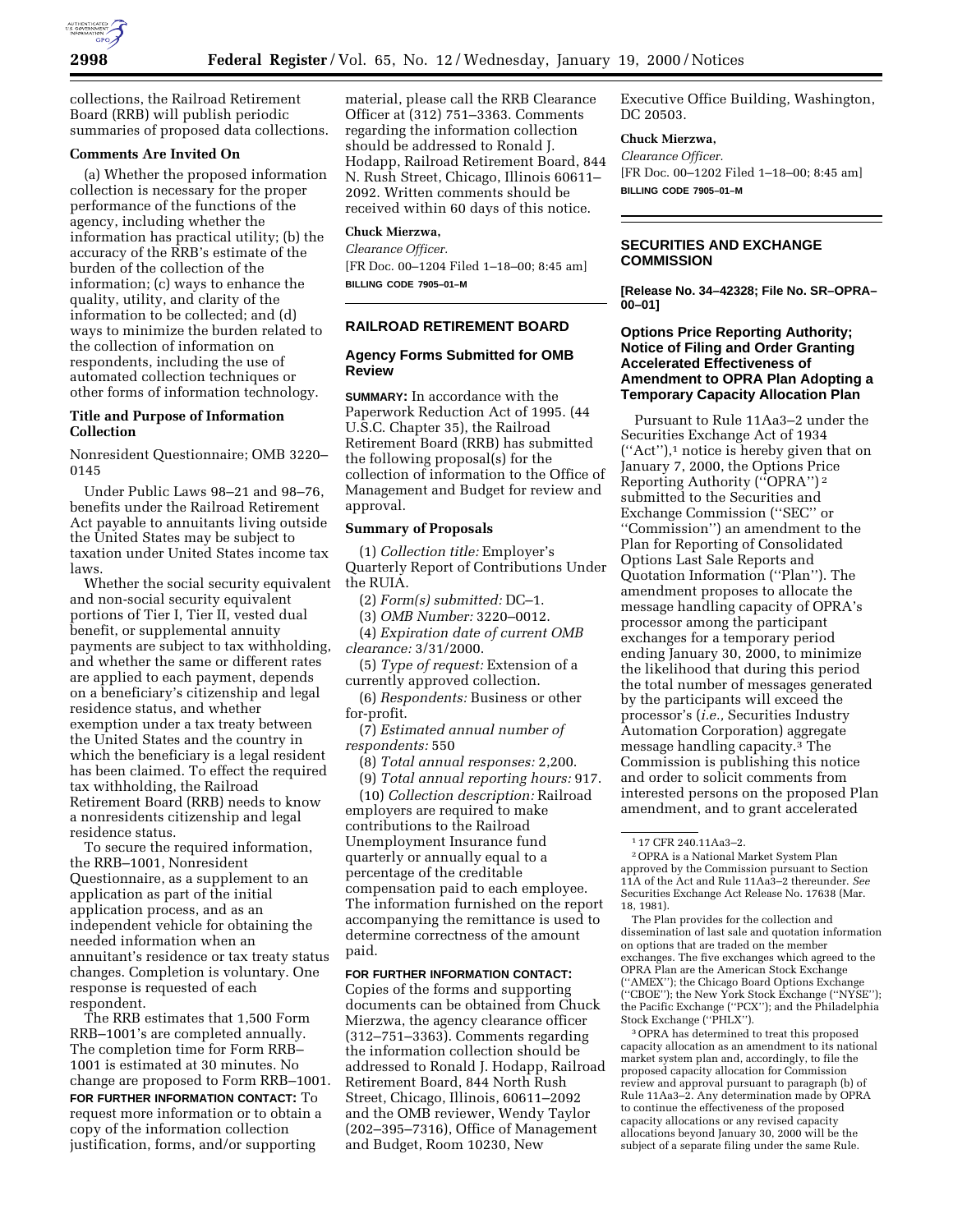

collections, the Railroad Retirement Board (RRB) will publish periodic summaries of proposed data collections.

## **Comments Are Invited On**

(a) Whether the proposed information collection is necessary for the proper performance of the functions of the agency, including whether the information has practical utility; (b) the accuracy of the RRB's estimate of the burden of the collection of the information; (c) ways to enhance the quality, utility, and clarity of the information to be collected; and (d) ways to minimize the burden related to the collection of information on respondents, including the use of automated collection techniques or other forms of information technology.

## **Title and Purpose of Information Collection**

Nonresident Questionnaire; OMB 3220– 0145

Under Public Laws 98–21 and 98–76, benefits under the Railroad Retirement Act payable to annuitants living outside the United States may be subject to taxation under United States income tax laws.

Whether the social security equivalent and non-social security equivalent portions of Tier I, Tier II, vested dual benefit, or supplemental annuity payments are subject to tax withholding, and whether the same or different rates are applied to each payment, depends on a beneficiary's citizenship and legal residence status, and whether exemption under a tax treaty between the United States and the country in which the beneficiary is a legal resident has been claimed. To effect the required tax withholding, the Railroad Retirement Board (RRB) needs to know a nonresidents citizenship and legal residence status.

To secure the required information, the RRB–1001, Nonresident Questionnaire, as a supplement to an application as part of the initial application process, and as an independent vehicle for obtaining the needed information when an annuitant's residence or tax treaty status changes. Completion is voluntary. One response is requested of each respondent.

The RRB estimates that 1,500 Form RRB–1001's are completed annually. The completion time for Form RRB– 1001 is estimated at 30 minutes. No change are proposed to Form RRB–1001. **FOR FURTHER INFORMATION CONTACT:** To request more information or to obtain a copy of the information collection justification, forms, and/or supporting

material, please call the RRB Clearance Officer at (312) 751–3363. Comments regarding the information collection should be addressed to Ronald J. Hodapp, Railroad Retirement Board, 844 N. Rush Street, Chicago, Illinois 60611– 2092. Written comments should be received within 60 days of this notice.

# **Chuck Mierzwa,**

*Clearance Officer.* [FR Doc. 00–1204 Filed 1–18–00; 8:45 am] **BILLING CODE 7905–01–M**

### **RAILROAD RETIREMENT BOARD**

## **Agency Forms Submitted for OMB Review**

**SUMMARY:** In accordance with the Paperwork Reduction Act of 1995. (44 U.S.C. Chapter 35), the Railroad Retirement Board (RRB) has submitted the following proposal(s) for the collection of information to the Office of Management and Budget for review and approval.

### **Summary of Proposals**

(1) *Collection title:* Employer's Quarterly Report of Contributions Under the RUIA.

(2) *Form(s) submitted:* DC–1.

(3) *OMB Number:* 3220–0012.

(4) *Expiration date of current OMB clearance:* 3/31/2000.

(5) *Type of request:* Extension of a currently approved collection.

(6) *Respondents:* Business or other for-profit.

(7) *Estimated annual number of respondents:* 550

(8) *Total annual responses:* 2,200.

(9) *Total annual reporting hours:* 917.

(10) *Collection description:* Railroad employers are required to make contributions to the Railroad Unemployment Insurance fund quarterly or annually equal to a percentage of the creditable compensation paid to each employee. The information furnished on the report accompanying the remittance is used to determine correctness of the amount paid.

### **FOR FURTHER INFORMATION CONTACT:**

Copies of the forms and supporting documents can be obtained from Chuck Mierzwa, the agency clearance officer (312–751–3363). Comments regarding the information collection should be addressed to Ronald J. Hodapp, Railroad Retirement Board, 844 North Rush Street, Chicago, Illinois, 60611–2092 and the OMB reviewer, Wendy Taylor (202–395–7316), Office of Management and Budget, Room 10230, New

Executive Office Building, Washington, DC 20503.

## **Chuck Mierzwa,**

*Clearance Officer.* [FR Doc. 00–1202 Filed 1–18–00; 8:45 am] **BILLING CODE 7905–01–M**

## **SECURITIES AND EXCHANGE COMMISSION**

**[Release No. 34–42328; File No. SR–OPRA– 00–01]**

## **Options Price Reporting Authority; Notice of Filing and Order Granting Accelerated Effectiveness of Amendment to OPRA Plan Adopting a Temporary Capacity Allocation Plan**

Pursuant to Rule 11Aa3–2 under the Securities Exchange Act of 1934 (''Act''),1 notice is hereby given that on January 7, 2000, the Options Price Reporting Authority (''OPRA'') 2 submitted to the Securities and Exchange Commission (''SEC'' or ''Commission'') an amendment to the Plan for Reporting of Consolidated Options Last Sale Reports and Quotation Information (''Plan''). The amendment proposes to allocate the message handling capacity of OPRA's processor among the participant exchanges for a temporary period ending January 30, 2000, to minimize the likelihood that during this period the total number of messages generated by the participants will exceed the processor's (*i.e.,* Securities Industry Automation Corporation) aggregate message handling capacity.3 The Commission is publishing this notice and order to solicit comments from interested persons on the proposed Plan amendment, and to grant accelerated

The Plan provides for the collection and dissemination of last sale and quotation information on options that are traded on the member exchanges. The five exchanges which agreed to the OPRA Plan are the American Stock Exchange (''AMEX''); the Chicago Board Options Exchange (''CBOE''); the New York Stock Exchange (''NYSE''); the Pacific Exchange (''PCX''); and the Philadelphia Stock Exchange (''PHLX'').

3OPRA has determined to treat this proposed capacity allocation as an amendment to its national market system plan and, accordingly, to file the proposed capacity allocation for Commission review and approval pursuant to paragraph (b) of Rule 11Aa3–2. Any determination made by OPRA to continue the effectiveness of the proposed capacity allocations or any revised capacity allocations beyond January 30, 2000 will be the subject of a separate filing under the same Rule.

<sup>1</sup> 17 CFR 240.11Aa3–2.

<sup>2</sup>OPRA is a National Market System Plan approved by the Commission pursuant to Section 11A of the Act and Rule 11Aa3–2 thereunder. *See* Securities Exchange Act Release No. 17638 (Mar. 18, 1981).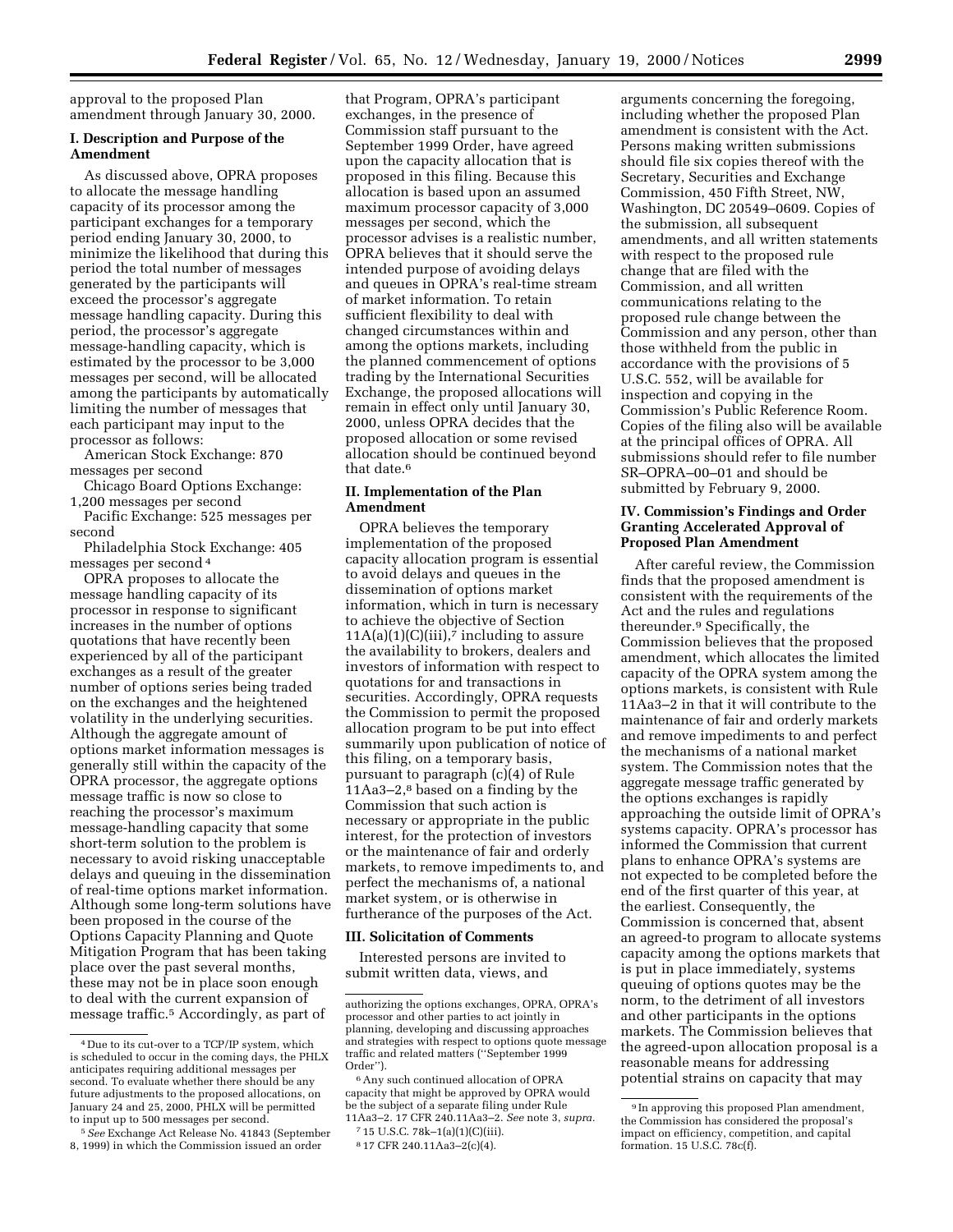approval to the proposed Plan amendment through January 30, 2000.

## **I. Description and Purpose of the Amendment**

As discussed above, OPRA proposes to allocate the message handling capacity of its processor among the participant exchanges for a temporary period ending January 30, 2000, to minimize the likelihood that during this period the total number of messages generated by the participants will exceed the processor's aggregate message handling capacity. During this period, the processor's aggregate message-handling capacity, which is estimated by the processor to be 3,000 messages per second, will be allocated among the participants by automatically limiting the number of messages that each participant may input to the processor as follows:

American Stock Exchange: 870 messages per second

Chicago Board Options Exchange: 1,200 messages per second

Pacific Exchange: 525 messages per second

Philadelphia Stock Exchange: 405 messages per second 4

OPRA proposes to allocate the message handling capacity of its processor in response to significant increases in the number of options quotations that have recently been experienced by all of the participant exchanges as a result of the greater number of options series being traded on the exchanges and the heightened volatility in the underlying securities. Although the aggregate amount of options market information messages is generally still within the capacity of the OPRA processor, the aggregate options message traffic is now so close to reaching the processor's maximum message-handling capacity that some short-term solution to the problem is necessary to avoid risking unacceptable delays and queuing in the dissemination of real-time options market information. Although some long-term solutions have been proposed in the course of the Options Capacity Planning and Quote Mitigation Program that has been taking place over the past several months, these may not be in place soon enough to deal with the current expansion of message traffic.5 Accordingly, as part of

that Program, OPRA's participant exchanges, in the presence of Commission staff pursuant to the September 1999 Order, have agreed upon the capacity allocation that is proposed in this filing. Because this allocation is based upon an assumed maximum processor capacity of 3,000 messages per second, which the processor advises is a realistic number, OPRA believes that it should serve the intended purpose of avoiding delays and queues in OPRA's real-time stream of market information. To retain sufficient flexibility to deal with changed circumstances within and among the options markets, including the planned commencement of options trading by the International Securities Exchange, the proposed allocations will remain in effect only until January 30, 2000, unless OPRA decides that the proposed allocation or some revised allocation should be continued beyond that date.<sup>6</sup>

## **II. Implementation of the Plan Amendment**

OPRA believes the temporary implementation of the proposed capacity allocation program is essential to avoid delays and queues in the dissemination of options market information, which in turn is necessary to achieve the objective of Section  $11A(a)(1)(C)(iii)$ , including to assure the availability to brokers, dealers and investors of information with respect to quotations for and transactions in securities. Accordingly, OPRA requests the Commission to permit the proposed allocation program to be put into effect summarily upon publication of notice of this filing, on a temporary basis, pursuant to paragraph (c)(4) of Rule 11Aa3–2,8 based on a finding by the Commission that such action is necessary or appropriate in the public interest, for the protection of investors or the maintenance of fair and orderly markets, to remove impediments to, and perfect the mechanisms of, a national market system, or is otherwise in furtherance of the purposes of the Act.

#### **III. Solicitation of Comments**

Interested persons are invited to submit written data, views, and

6Any such continued allocation of OPRA capacity that might be approved by OPRA would be the subject of a separate filing under Rule 11Aa3–2. 17 CFR 240.11Aa3–2. *See* note 3, *supra.*

7 15 U.S.C. 78k–1(a)(1)(C)(iii).

arguments concerning the foregoing, including whether the proposed Plan amendment is consistent with the Act. Persons making written submissions should file six copies thereof with the Secretary, Securities and Exchange Commission, 450 Fifth Street, NW, Washington, DC 20549–0609. Copies of the submission, all subsequent amendments, and all written statements with respect to the proposed rule change that are filed with the Commission, and all written communications relating to the proposed rule change between the Commission and any person, other than those withheld from the public in accordance with the provisions of 5 U.S.C. 552, will be available for inspection and copying in the Commission's Public Reference Room. Copies of the filing also will be available at the principal offices of OPRA. All submissions should refer to file number SR–OPRA–00–01 and should be submitted by February 9, 2000.

## **IV. Commission's Findings and Order Granting Accelerated Approval of Proposed Plan Amendment**

After careful review, the Commission finds that the proposed amendment is consistent with the requirements of the Act and the rules and regulations thereunder.9 Specifically, the Commission believes that the proposed amendment, which allocates the limited capacity of the OPRA system among the options markets, is consistent with Rule 11Aa3–2 in that it will contribute to the maintenance of fair and orderly markets and remove impediments to and perfect the mechanisms of a national market system. The Commission notes that the aggregate message traffic generated by the options exchanges is rapidly approaching the outside limit of OPRA's systems capacity. OPRA's processor has informed the Commission that current plans to enhance OPRA's systems are not expected to be completed before the end of the first quarter of this year, at the earliest. Consequently, the Commission is concerned that, absent an agreed-to program to allocate systems capacity among the options markets that is put in place immediately, systems queuing of options quotes may be the norm, to the detriment of all investors and other participants in the options markets. The Commission believes that the agreed-upon allocation proposal is a reasonable means for addressing potential strains on capacity that may

<sup>4</sup> Due to its cut-over to a TCP/IP system, which is scheduled to occur in the coming days, the PHLX anticipates requiring additional messages per second. To evaluate whether there should be any future adjustments to the proposed allocations, on January 24 and 25, 2000, PHLX will be permitted to input up to 500 messages per second.

<sup>5</sup>*See* Exchange Act Release No. 41843 (September 8, 1999) in which the Commission issued an order

authorizing the options exchanges, OPRA, OPRA's processor and other parties to act jointly in planning, developing and discussing approaches and strategies with respect to options quote message traffic and related matters (''September 1999 Order'').

<sup>8</sup> 17 CFR 240.11Aa3–2(c)(4).

<sup>9</sup> In approving this proposed Plan amendment, the Commission has considered the proposal's impact on efficiency, competition, and capital formation. 15 U.S.C. 78c(f).